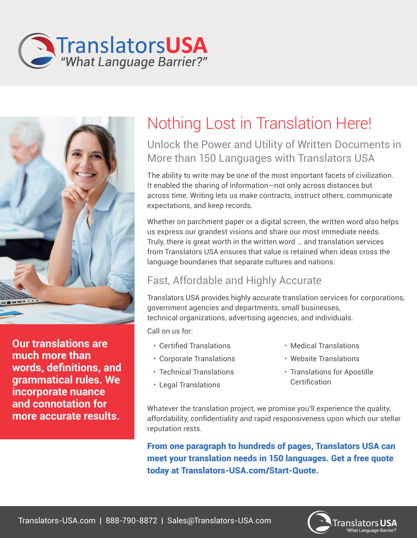



**Our translations are much more than words, definitions, and grammatical rules. We incorporate nuance and connotation for more accurate results.** 

# Nothing Lost in Translation Here!

### Unlock the Power and Utility of Written Documents in More than 150 Languages with Translators USA

The ability to write may be one of the most important facets of civilization. It enabled the sharing of information—not only across distances but across time. Writing lets us make contracts, instruct others, communicate expectations, and keep records.

Whether on parchment paper or a digital screen, the written word also helps us express our grandest visions and share our most immediate needs. Truly, there is great worth in the written word … and translation services from Translators USA ensures that value is retained when ideas cross the language boundaries that separate cultures and nations.

## Fast, Affordable and Highly Accurate

Translators USA provides highly accurate translation services for corporations, government agencies and departments, small businesses, technical organizations, advertising agencies, and individuals.

Call on us for:

- Certified Translations
- Corporate Translations
- Technical Translations
- Legal Translations
- Medical Translations
- Website Translations
- Translations for Apostille Certification

Whatever the translation project, we promise you'll experience the quality, affordability, confidentiality and rapid responsiveness upon which our stellar reputation rests.

From one paragraph to hundreds of pages, Translators USA can meet your translation needs in 150 languages. Get a free quote today at Translators-USA.com/Start-Quote.